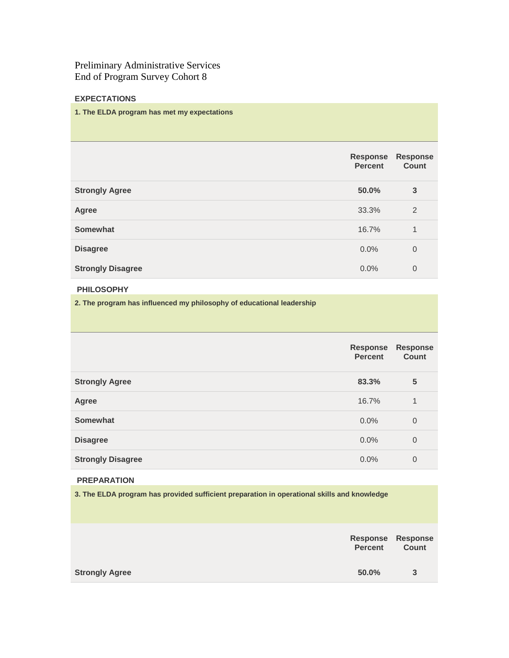Preliminary Administrative Services End of Program Survey Cohort 8

## **EXPECTATIONS**

#### **1. The ELDA program has met my expectations**

|                          | <b>Response</b><br><b>Percent</b> | <b>Response</b><br><b>Count</b> |
|--------------------------|-----------------------------------|---------------------------------|
| <b>Strongly Agree</b>    | 50.0%                             | 3                               |
| Agree                    | 33.3%                             | 2                               |
| Somewhat                 | 16.7%                             | 1                               |
| <b>Disagree</b>          | 0.0%                              | $\overline{0}$                  |
| <b>Strongly Disagree</b> | 0.0%                              | $\overline{0}$                  |

# **PHILOSOPHY**

**2. The program has influenced my philosophy of educational leadership**

|                          | <b>Response</b><br><b>Percent</b> | <b>Response</b><br><b>Count</b> |
|--------------------------|-----------------------------------|---------------------------------|
| <b>Strongly Agree</b>    | 83.3%                             | 5                               |
| Agree                    | 16.7%                             | 1                               |
| <b>Somewhat</b>          | $0.0\%$                           | $\overline{0}$                  |
| <b>Disagree</b>          | $0.0\%$                           | $\overline{0}$                  |
| <b>Strongly Disagree</b> | 0.0%                              | $\overline{0}$                  |

#### **PREPARATION**

**3. The ELDA program has provided sufficient preparation in operational skills and knowledge**

|                       | <b>Percent</b> | <b>Response Response</b><br>Count |
|-----------------------|----------------|-----------------------------------|
| <b>Strongly Agree</b> | 50.0%          | 3                                 |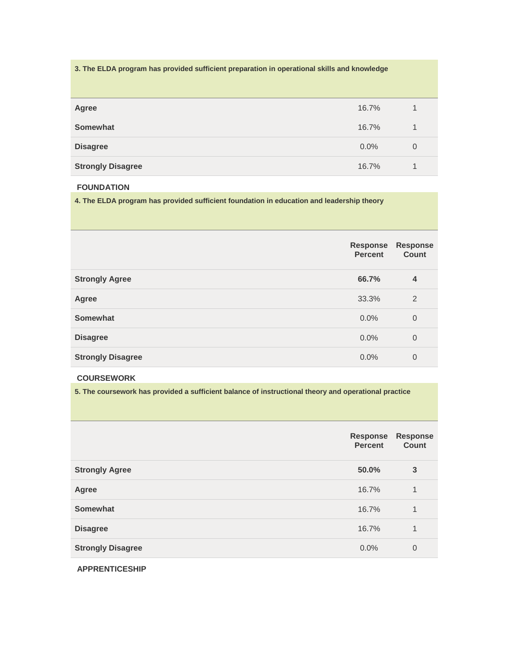| 3. The ELDA program has provided sufficient preparation in operational skills and knowledge |         |          |
|---------------------------------------------------------------------------------------------|---------|----------|
| Agree                                                                                       | 16.7%   |          |
| <b>Somewhat</b>                                                                             | 16.7%   |          |
| <b>Disagree</b>                                                                             | $0.0\%$ | $\Omega$ |
| <b>Strongly Disagree</b>                                                                    | 16.7%   | 1        |

## **FOUNDATION**

**4. The ELDA program has provided sufficient foundation in education and leadership theory**

|                          | <b>Response</b><br><b>Percent</b> | <b>Response</b><br><b>Count</b> |
|--------------------------|-----------------------------------|---------------------------------|
| <b>Strongly Agree</b>    | 66.7%                             | $\overline{4}$                  |
| Agree                    | 33.3%                             | 2                               |
| Somewhat                 | 0.0%                              | $\overline{0}$                  |
| <b>Disagree</b>          | 0.0%                              | $\overline{0}$                  |
| <b>Strongly Disagree</b> | 0.0%                              | $\overline{0}$                  |

## **COURSEWORK**

**5. The coursework has provided a sufficient balance of instructional theory and operational practice**

|                          | <b>Response</b><br><b>Percent</b> | <b>Response</b><br><b>Count</b> |
|--------------------------|-----------------------------------|---------------------------------|
| <b>Strongly Agree</b>    | 50.0%                             | 3                               |
| Agree                    | 16.7%                             | 1                               |
| Somewhat                 | 16.7%                             | 1                               |
| <b>Disagree</b>          | 16.7%                             | 1                               |
| <b>Strongly Disagree</b> | 0.0%                              | $\overline{0}$                  |

**APPRENTICESHIP**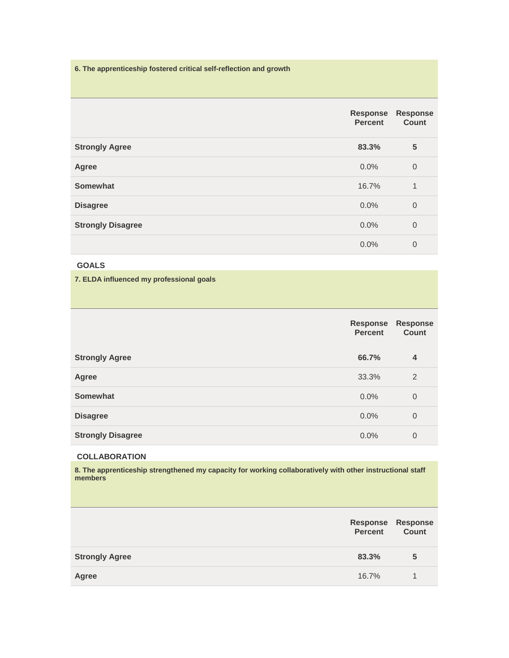**6. The apprenticeship fostered critical self-reflection and growth**

|                          | Response<br><b>Percent</b> | <b>Response</b><br><b>Count</b> |
|--------------------------|----------------------------|---------------------------------|
| <b>Strongly Agree</b>    | 83.3%                      | 5                               |
| Agree                    | 0.0%                       | $\overline{0}$                  |
| <b>Somewhat</b>          | 16.7%                      | $\mathbf 1$                     |
| <b>Disagree</b>          | 0.0%                       | $\overline{0}$                  |
| <b>Strongly Disagree</b> | 0.0%                       | $\overline{0}$                  |
|                          | 0.0%                       | $\overline{0}$                  |

# **GOALS**

**7. ELDA influenced my professional goals**

|                          | <b>Response</b><br><b>Percent</b> | <b>Response</b><br><b>Count</b> |
|--------------------------|-----------------------------------|---------------------------------|
| <b>Strongly Agree</b>    | 66.7%                             | $\overline{4}$                  |
| Agree                    | 33.3%                             | 2                               |
| <b>Somewhat</b>          | 0.0%                              | $\overline{0}$                  |
| <b>Disagree</b>          | 0.0%                              | $\overline{0}$                  |
| <b>Strongly Disagree</b> | 0.0%                              | 0                               |

### **COLLABORATION**

**8. The apprenticeship strengthened my capacity for working collaboratively with other instructional staff members**

|                       | <b>Percent</b> | Response Response<br>Count |
|-----------------------|----------------|----------------------------|
| <b>Strongly Agree</b> | 83.3%          | 5                          |
| Agree                 | 16.7%          |                            |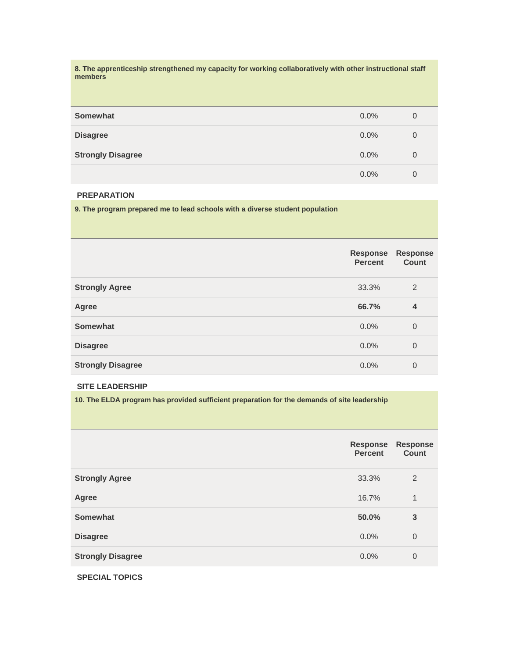**8. The apprenticeship strengthened my capacity for working collaboratively with other instructional staff members**

| Somewhat                 | 0.0%    | 0 |
|--------------------------|---------|---|
| <b>Disagree</b>          | $0.0\%$ | 0 |
| <b>Strongly Disagree</b> | 0.0%    | 0 |
|                          | 0.0%    | 0 |

#### **PREPARATION**

**9. The program prepared me to lead schools with a diverse student population**

|                          | <b>Response</b><br><b>Percent</b> | <b>Response</b><br><b>Count</b> |
|--------------------------|-----------------------------------|---------------------------------|
| <b>Strongly Agree</b>    | 33.3%                             | 2                               |
| Agree                    | 66.7%                             | $\overline{4}$                  |
| <b>Somewhat</b>          | $0.0\%$                           | $\overline{0}$                  |
| <b>Disagree</b>          | 0.0%                              | $\overline{0}$                  |
| <b>Strongly Disagree</b> | 0.0%                              | 0                               |

## **SITE LEADERSHIP**

**10. The ELDA program has provided sufficient preparation for the demands of site leadership**

|                          | <b>Response</b><br><b>Percent</b> | <b>Response</b><br><b>Count</b> |
|--------------------------|-----------------------------------|---------------------------------|
| <b>Strongly Agree</b>    | 33.3%                             | 2                               |
| Agree                    | 16.7%                             | 1                               |
| Somewhat                 | 50.0%                             | 3                               |
| <b>Disagree</b>          | 0.0%                              | $\overline{0}$                  |
| <b>Strongly Disagree</b> | 0.0%                              | $\overline{0}$                  |

**SPECIAL TOPICS**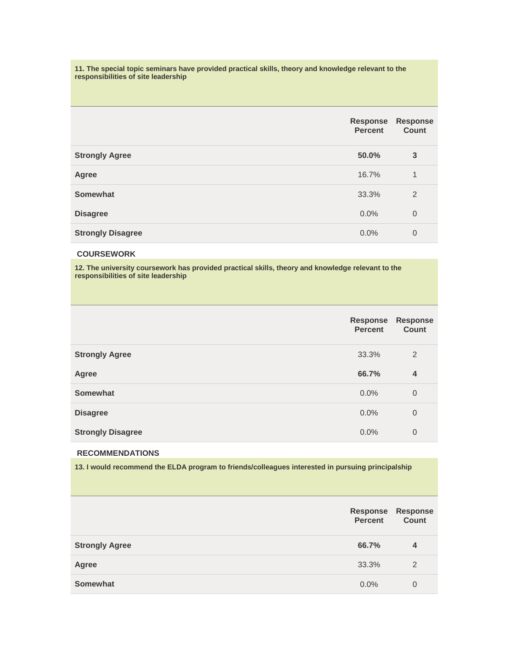**11. The special topic seminars have provided practical skills, theory and knowledge relevant to the responsibilities of site leadership**

|                          | <b>Response</b><br><b>Percent</b> | <b>Response</b><br><b>Count</b> |
|--------------------------|-----------------------------------|---------------------------------|
| <b>Strongly Agree</b>    | 50.0%                             | 3                               |
| Agree                    | 16.7%                             | 1                               |
| <b>Somewhat</b>          | 33.3%                             | 2                               |
| <b>Disagree</b>          | 0.0%                              | $\overline{0}$                  |
| <b>Strongly Disagree</b> | 0.0%                              | $\overline{0}$                  |

# **COURSEWORK**

**12. The university coursework has provided practical skills, theory and knowledge relevant to the responsibilities of site leadership**

|                          | <b>Response</b><br><b>Percent</b> | <b>Response</b><br>Count |
|--------------------------|-----------------------------------|--------------------------|
| <b>Strongly Agree</b>    | 33.3%                             | $\overline{2}$           |
| Agree                    | 66.7%                             | 4                        |
| Somewhat                 | 0.0%                              | $\overline{0}$           |
| <b>Disagree</b>          | 0.0%                              | $\overline{0}$           |
| <b>Strongly Disagree</b> | 0.0%                              | $\overline{0}$           |

#### **RECOMMENDATIONS**

**13. I would recommend the ELDA program to friends/colleagues interested in pursuing principalship**

|                       | Response<br><b>Percent</b> | <b>Response</b><br><b>Count</b> |
|-----------------------|----------------------------|---------------------------------|
| <b>Strongly Agree</b> | 66.7%                      | 4                               |
| Agree                 | 33.3%                      | $\overline{2}$                  |
| <b>Somewhat</b>       | $0.0\%$                    | 0                               |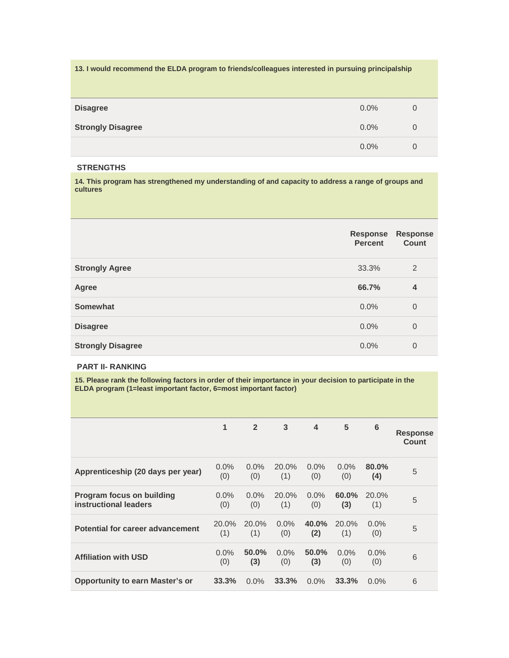| 13. I would recommend the ELDA program to friends/colleagues interested in pursuing principalship |         |   |
|---------------------------------------------------------------------------------------------------|---------|---|
| <b>Disagree</b>                                                                                   | $0.0\%$ | 0 |
| <b>Strongly Disagree</b>                                                                          | $0.0\%$ | 0 |
|                                                                                                   | $0.0\%$ | 0 |

## **STRENGTHS**

**14. This program has strengthened my understanding of and capacity to address a range of groups and cultures**

|                          | <b>Response</b><br><b>Percent</b> | <b>Response</b><br><b>Count</b> |
|--------------------------|-----------------------------------|---------------------------------|
| <b>Strongly Agree</b>    | 33.3%                             | 2                               |
| Agree                    | 66.7%                             | 4                               |
| <b>Somewhat</b>          | 0.0%                              | $\overline{0}$                  |
| <b>Disagree</b>          | 0.0%                              | $\overline{0}$                  |
| <b>Strongly Disagree</b> | 0.0%                              | $\overline{0}$                  |

## **PART II- RANKING**

**15. Please rank the following factors in order of their importance in your decision to participate in the ELDA program (1=least important factor, 6=most important factor)**

|                                                           | 1              | $\overline{2}$ | 3              | $\overline{\mathbf{4}}$ | 5              | 6               | <b>Response</b><br><b>Count</b> |
|-----------------------------------------------------------|----------------|----------------|----------------|-------------------------|----------------|-----------------|---------------------------------|
| Apprenticeship (20 days per year)                         | $0.0\%$<br>(0) | $0.0\%$<br>(0) | 20.0%<br>(1)   | $0.0\%$<br>(0)          | $0.0\%$<br>(0) | $80.0\%$<br>(4) | 5                               |
| <b>Program focus on building</b><br>instructional leaders | $0.0\%$<br>(0) | $0.0\%$<br>(0) | 20.0%<br>(1)   | $0.0\%$<br>(0)          | 60.0%<br>(3)   | 20.0%<br>(1)    | 5                               |
| Potential for career advancement                          | 20.0%<br>(1)   | 20.0%<br>(1)   | $0.0\%$<br>(0) | 40.0%<br>(2)            | 20.0%<br>(1)   | $0.0\%$<br>(0)  | 5                               |
| <b>Affiliation with USD</b>                               | $0.0\%$<br>(0) | 50.0%<br>(3)   | $0.0\%$<br>(0) | 50.0%<br>(3)            | $0.0\%$<br>(0) | $0.0\%$<br>(0)  | 6                               |
| <b>Opportunity to earn Master's or</b>                    | 33.3%          | 0.0%           | 33.3%          | 0.0%                    | 33.3%          | $0.0\%$         | 6                               |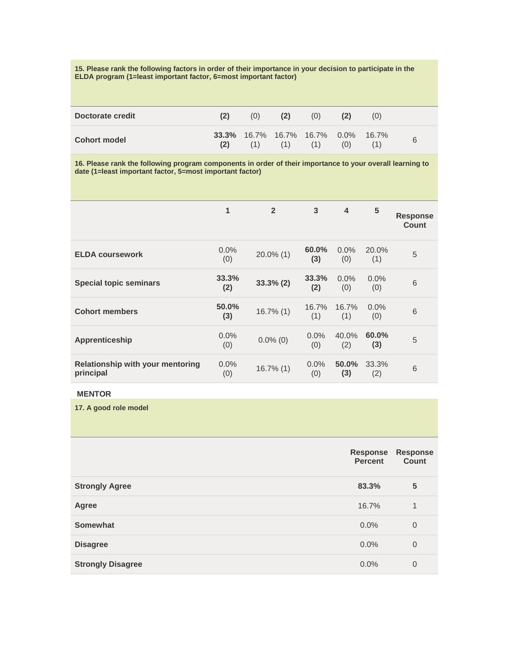**15. Please rank the following factors in order of their importance in your decision to participate in the ELDA program (1=least important factor, 6=most important factor)**

| Doctorate credit    |     | (0) | (2) | (0)                                              |     | (0) |   |
|---------------------|-----|-----|-----|--------------------------------------------------|-----|-----|---|
| <b>Cohort model</b> | (2) | (1) | (1) | <b>33.3%</b> 16.7% 16.7% 16.7% 0.0% 16.7%<br>(1) | (0) |     | 6 |

**16. Please rank the following program components in order of their importance to your overall learning to date (1=least important factor, 5=most important factor)**

|                                                      | $\mathbf{1}$ | $\overline{2}$ | 3              | 4              | 5              | <b>Response</b><br>Count |
|------------------------------------------------------|--------------|----------------|----------------|----------------|----------------|--------------------------|
| <b>ELDA coursework</b>                               | 0.0%<br>(0)  | $20.0\%$ (1)   | 60.0%<br>(3)   | $0.0\%$<br>(0) | 20.0%<br>(1)   | 5                        |
| <b>Special topic seminars</b>                        | 33.3%<br>(2) | $33.3\%$ (2)   | 33.3%<br>(2)   | $0.0\%$<br>(0) | $0.0\%$<br>(0) | 6                        |
| <b>Cohort members</b>                                | 50.0%<br>(3) | $16.7\%$ (1)   | 16.7%<br>(1)   | 16.7%<br>(1)   | $0.0\%$<br>(0) | 6                        |
| <b>Apprenticeship</b>                                | 0.0%<br>(0)  | $0.0\%$ (0)    | $0.0\%$<br>(0) | 40.0%<br>(2)   | 60.0%<br>(3)   | 5                        |
| <b>Relationship with your mentoring</b><br>principal | 0.0%<br>(0)  | $16.7\%$ (1)   | $0.0\%$<br>(0) | 50.0%<br>(3)   | 33.3%<br>(2)   | 6                        |

# **MENTOR**

**17. A good role model**

|                          | <b>Response</b><br><b>Percent</b> | <b>Response</b><br><b>Count</b> |
|--------------------------|-----------------------------------|---------------------------------|
| <b>Strongly Agree</b>    | 83.3%                             | 5                               |
| <b>Agree</b>             | 16.7%                             | 1                               |
| Somewhat                 | $0.0\%$                           | $\theta$                        |
| <b>Disagree</b>          | $0.0\%$                           | $\overline{0}$                  |
| <b>Strongly Disagree</b> | $0.0\%$                           | $\mathbf 0$                     |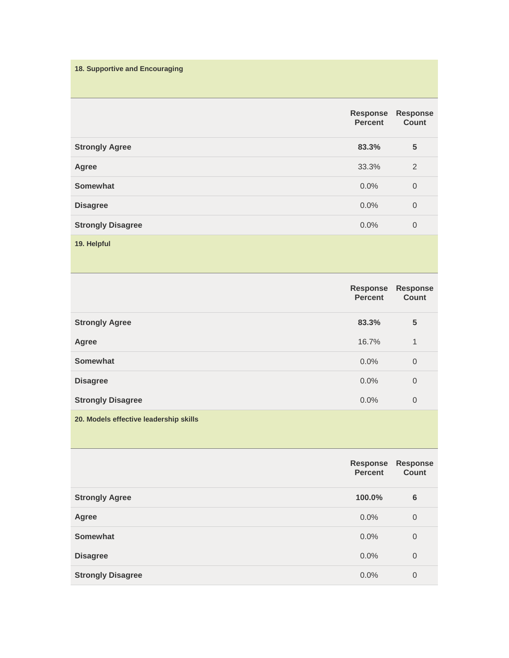**18. Supportive and Encouraging**

|                          | <b>Response</b><br><b>Percent</b> | <b>Response</b><br>Count |
|--------------------------|-----------------------------------|--------------------------|
| <b>Strongly Agree</b>    | 83.3%                             | 5                        |
| Agree                    | 33.3%                             | 2                        |
| <b>Somewhat</b>          | $0.0\%$                           | $\theta$                 |
| <b>Disagree</b>          | 0.0%                              | $\overline{0}$           |
| <b>Strongly Disagree</b> | 0.0%                              | $\mathbf 0$              |
| 19. Helpful              |                                   |                          |

|                          | <b>Response</b><br><b>Percent</b> | <b>Response</b><br><b>Count</b> |
|--------------------------|-----------------------------------|---------------------------------|
| <b>Strongly Agree</b>    | 83.3%                             | 5                               |
| Agree                    | 16.7%                             | 1                               |
| <b>Somewhat</b>          | $0.0\%$                           | $\overline{0}$                  |
| <b>Disagree</b>          | 0.0%                              | 0                               |
| <b>Strongly Disagree</b> | 0.0%                              | $\overline{0}$                  |
|                          |                                   |                                 |

**20. Models effective leadership skills**

|                          | <b>Response</b><br><b>Percent</b> | <b>Response</b><br>Count |
|--------------------------|-----------------------------------|--------------------------|
| <b>Strongly Agree</b>    | 100.0%                            | 6                        |
| Agree                    | $0.0\%$                           | $\overline{0}$           |
| <b>Somewhat</b>          | $0.0\%$                           | $\overline{0}$           |
| <b>Disagree</b>          | 0.0%                              | $\overline{0}$           |
| <b>Strongly Disagree</b> | 0.0%                              | $\overline{0}$           |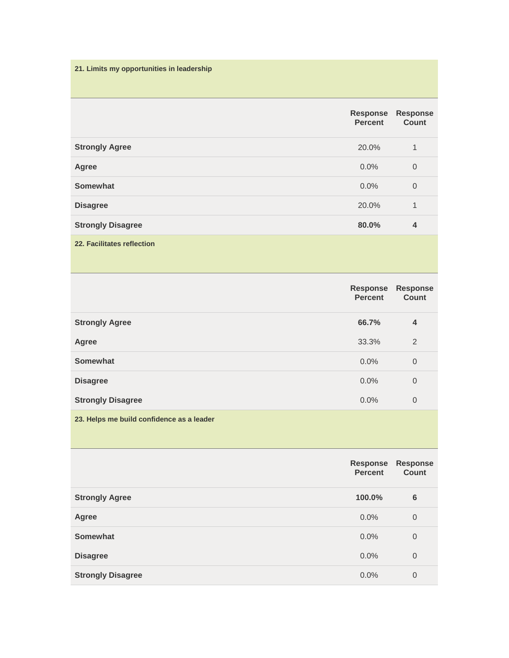**21. Limits my opportunities in leadership**

|                            | <b>Response</b><br><b>Percent</b> | <b>Response</b><br><b>Count</b> |
|----------------------------|-----------------------------------|---------------------------------|
| <b>Strongly Agree</b>      | 20.0%                             | $\mathbf{1}$                    |
| Agree                      | $0.0\%$                           | $\overline{0}$                  |
| Somewhat                   | $0.0\%$                           | $\overline{0}$                  |
| <b>Disagree</b>            | 20.0%                             | 1                               |
| <b>Strongly Disagree</b>   | 80.0%                             | $\overline{4}$                  |
| 22. Facilitates reflection |                                   |                                 |

|                          | <b>Response</b><br><b>Percent</b> | <b>Response</b><br><b>Count</b> |
|--------------------------|-----------------------------------|---------------------------------|
| <b>Strongly Agree</b>    | 66.7%                             | $\overline{4}$                  |
| Agree                    | 33.3%                             | 2                               |
| <b>Somewhat</b>          | $0.0\%$                           | $\overline{0}$                  |
| <b>Disagree</b>          | 0.0%                              | $\overline{0}$                  |
| <b>Strongly Disagree</b> | 0.0%                              | $\mathbf 0$                     |
|                          |                                   |                                 |

**23. Helps me build confidence as a leader**

|                          | <b>Response</b><br><b>Percent</b> | <b>Response</b><br><b>Count</b> |
|--------------------------|-----------------------------------|---------------------------------|
| <b>Strongly Agree</b>    | 100.0%                            | $6\phantom{1}6$                 |
| Agree                    | 0.0%                              | $\overline{0}$                  |
| Somewhat                 | 0.0%                              | $\overline{0}$                  |
| <b>Disagree</b>          | 0.0%                              | $\overline{0}$                  |
| <b>Strongly Disagree</b> | 0.0%                              | $\overline{0}$                  |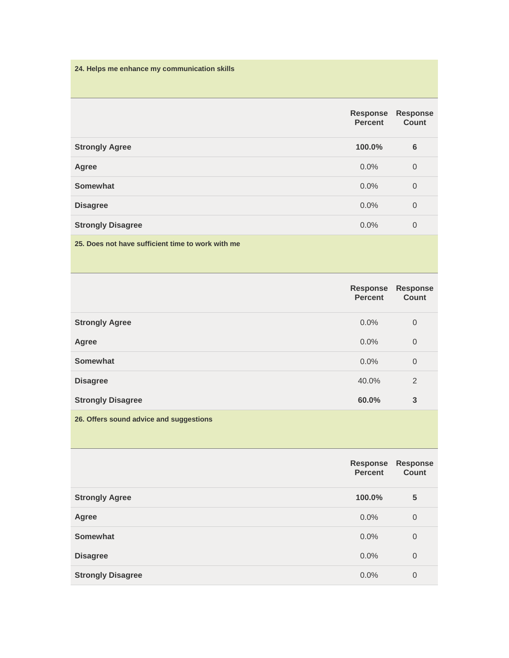**24. Helps me enhance my communication skills**

|                          | <b>Response</b><br><b>Percent</b> | <b>Response</b><br><b>Count</b> |
|--------------------------|-----------------------------------|---------------------------------|
| <b>Strongly Agree</b>    | 100.0%                            | $6\phantom{1}6$                 |
| Agree                    | $0.0\%$                           | $\mathbf 0$                     |
| <b>Somewhat</b>          | $0.0\%$                           | $\theta$                        |
| <b>Disagree</b>          | $0.0\%$                           | $\mathbf 0$                     |
| <b>Strongly Disagree</b> | 0.0%                              | $\mathbf 0$                     |
|                          |                                   |                                 |

**25. Does not have sufficient time to work with me**

|                          | <b>Response</b><br><b>Percent</b> | <b>Response</b><br><b>Count</b> |
|--------------------------|-----------------------------------|---------------------------------|
| <b>Strongly Agree</b>    | $0.0\%$                           | $\overline{0}$                  |
| Agree                    | 0.0%                              | $\theta$                        |
| <b>Somewhat</b>          | 0.0%                              | $\mathbf 0$                     |
| <b>Disagree</b>          | 40.0%                             | 2                               |
| <b>Strongly Disagree</b> | 60.0%                             | 3                               |
|                          |                                   |                                 |

**26. Offers sound advice and suggestions**

|                          | <b>Response</b><br><b>Percent</b> | <b>Response</b><br>Count |
|--------------------------|-----------------------------------|--------------------------|
| <b>Strongly Agree</b>    | 100.0%                            | 5                        |
| Agree                    | 0.0%                              | $\mathbf 0$              |
| <b>Somewhat</b>          | 0.0%                              | $\overline{0}$           |
| <b>Disagree</b>          | 0.0%                              | $\mathbf 0$              |
| <b>Strongly Disagree</b> | 0.0%                              | 0                        |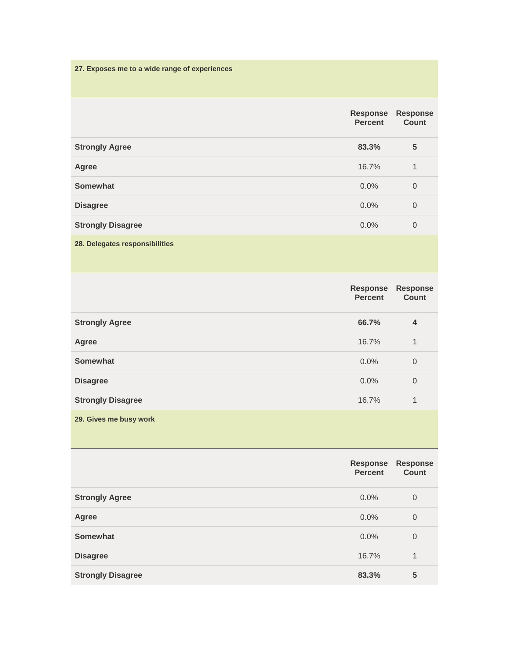**27. Exposes me to a wide range of experiences**

|                                | <b>Response</b><br><b>Percent</b> | <b>Response</b><br><b>Count</b> |
|--------------------------------|-----------------------------------|---------------------------------|
| <b>Strongly Agree</b>          | 83.3%                             | 5                               |
| Agree                          | 16.7%                             | 1                               |
| <b>Somewhat</b>                | $0.0\%$                           | $\overline{0}$                  |
| <b>Disagree</b>                | $0.0\%$                           | $\overline{0}$                  |
| <b>Strongly Disagree</b>       | 0.0%                              | $\mathbf 0$                     |
| 28. Delegates responsibilities |                                   |                                 |

|                          | <b>Response</b><br><b>Percent</b> | <b>Response</b><br>Count |
|--------------------------|-----------------------------------|--------------------------|
| <b>Strongly Agree</b>    | 66.7%                             | $\overline{4}$           |
| Agree                    | 16.7%                             | 1                        |
| <b>Somewhat</b>          | 0.0%                              | $\overline{0}$           |
| <b>Disagree</b>          | 0.0%                              | $\overline{0}$           |
| <b>Strongly Disagree</b> | 16.7%                             | 1                        |
| 29. Gives me busy work   |                                   |                          |

|                          | <b>Response</b><br><b>Percent</b> | <b>Response</b><br><b>Count</b> |
|--------------------------|-----------------------------------|---------------------------------|
| <b>Strongly Agree</b>    | $0.0\%$                           | $\mathbf 0$                     |
| Agree                    | $0.0\%$                           | $\overline{0}$                  |
| <b>Somewhat</b>          | $0.0\%$                           | $\overline{0}$                  |
| <b>Disagree</b>          | 16.7%                             | 1                               |
| <b>Strongly Disagree</b> | 83.3%                             | 5                               |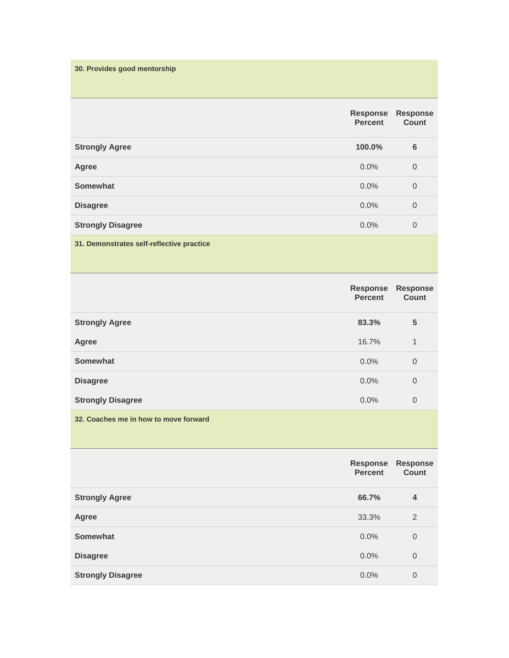**30. Provides good mentorship**

|                                           | <b>Response</b><br><b>Percent</b> | <b>Response</b><br><b>Count</b> |
|-------------------------------------------|-----------------------------------|---------------------------------|
| <b>Strongly Agree</b>                     | 100.0%                            | $6\phantom{1}6$                 |
| Agree                                     | $0.0\%$                           | $\overline{0}$                  |
| <b>Somewhat</b>                           | $0.0\%$                           | $\overline{0}$                  |
| <b>Disagree</b>                           | 0.0%                              | $\overline{0}$                  |
| <b>Strongly Disagree</b>                  | 0.0%                              | $\overline{0}$                  |
| 31. Demonstrates self-reflective practice |                                   |                                 |

|                          | <b>Response</b><br><b>Percent</b> | <b>Response</b><br><b>Count</b> |
|--------------------------|-----------------------------------|---------------------------------|
| <b>Strongly Agree</b>    | 83.3%                             | 5                               |
| Agree                    | 16.7%                             | 1                               |
| Somewhat                 | $0.0\%$                           | $\overline{0}$                  |
| <b>Disagree</b>          | $0.0\%$                           | $\overline{0}$                  |
| <b>Strongly Disagree</b> | 0.0%                              | $\mathbf 0$                     |
|                          |                                   |                                 |

**32. Coaches me in how to move forward**

|                          | <b>Response</b><br><b>Percent</b> | <b>Response</b><br><b>Count</b> |
|--------------------------|-----------------------------------|---------------------------------|
| <b>Strongly Agree</b>    | 66.7%                             | $\overline{4}$                  |
| Agree                    | 33.3%                             | 2                               |
| Somewhat                 | $0.0\%$                           | $\overline{0}$                  |
| <b>Disagree</b>          | 0.0%                              | $\overline{0}$                  |
| <b>Strongly Disagree</b> | $0.0\%$                           | $\overline{0}$                  |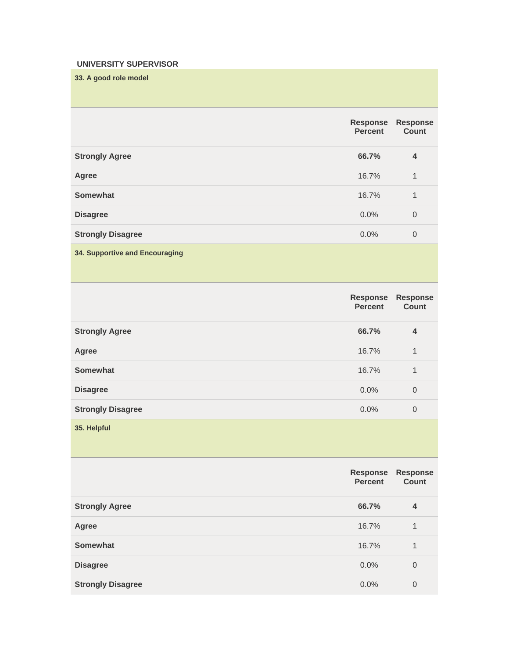# **UNIVERSITY SUPERVISOR**

**33. A good role model**

|                          | <b>Response</b><br><b>Percent</b> | <b>Response</b><br><b>Count</b> |
|--------------------------|-----------------------------------|---------------------------------|
| <b>Strongly Agree</b>    | 66.7%                             | $\overline{4}$                  |
| Agree                    | 16.7%                             | 1                               |
| Somewhat                 | 16.7%                             | $\mathbf{1}$                    |
| <b>Disagree</b>          | $0.0\%$                           | $\overline{0}$                  |
| <b>Strongly Disagree</b> | $0.0\%$                           | $\overline{0}$                  |
|                          |                                   |                                 |

# **34. Supportive and Encouraging**

|                          | <b>Response</b><br><b>Percent</b> | <b>Response</b><br><b>Count</b> |
|--------------------------|-----------------------------------|---------------------------------|
| <b>Strongly Agree</b>    | 66.7%                             | $\overline{4}$                  |
| Agree                    | 16.7%                             | 1                               |
| Somewhat                 | 16.7%                             | 1                               |
| <b>Disagree</b>          | 0.0%                              | $\overline{0}$                  |
| <b>Strongly Disagree</b> | 0.0%                              | $\overline{0}$                  |
|                          |                                   |                                 |

**35. Helpful**

|                          | <b>Response</b><br><b>Percent</b> | <b>Response</b><br>Count |
|--------------------------|-----------------------------------|--------------------------|
| <b>Strongly Agree</b>    | 66.7%                             | $\overline{4}$           |
| Agree                    | 16.7%                             | 1                        |
| <b>Somewhat</b>          | 16.7%                             | 1                        |
| <b>Disagree</b>          | $0.0\%$                           | $\overline{0}$           |
| <b>Strongly Disagree</b> | $0.0\%$                           | $\mathbf 0$              |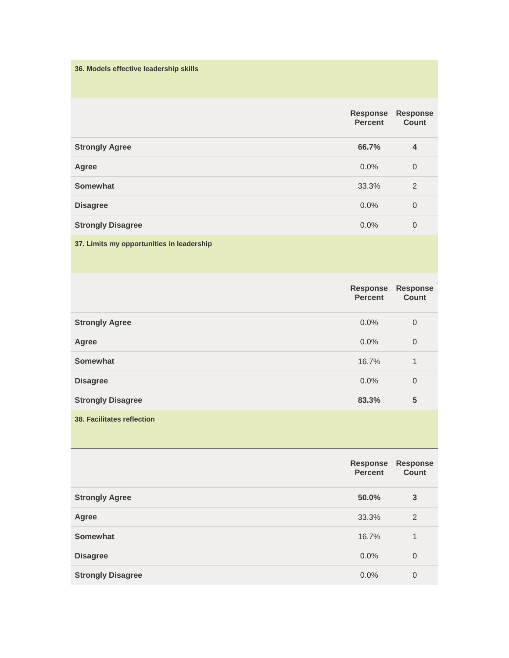**36. Models effective leadership skills**

|                                           | <b>Response</b><br><b>Percent</b> | <b>Response</b><br>Count |
|-------------------------------------------|-----------------------------------|--------------------------|
| <b>Strongly Agree</b>                     | 66.7%                             | $\overline{4}$           |
| Agree                                     | $0.0\%$                           | $\overline{0}$           |
| <b>Somewhat</b>                           | 33.3%                             | 2                        |
| <b>Disagree</b>                           | 0.0%                              | $\overline{0}$           |
| <b>Strongly Disagree</b>                  | 0.0%                              | $\overline{0}$           |
| 37. Limits my opportunities in leadership |                                   |                          |

|                                   | Response<br><b>Percent</b> | <b>Response</b><br><b>Count</b> |
|-----------------------------------|----------------------------|---------------------------------|
| <b>Strongly Agree</b>             | $0.0\%$                    | $\overline{0}$                  |
| Agree                             | $0.0\%$                    | $\overline{0}$                  |
| Somewhat                          | 16.7%                      | $\mathbf{1}$                    |
| <b>Disagree</b>                   | $0.0\%$                    | $\overline{0}$                  |
| <b>Strongly Disagree</b>          | 83.3%                      | 5                               |
| <b>38. Facilitates reflection</b> |                            |                                 |

|                          | <b>Response</b><br><b>Percent</b> | <b>Response</b><br>Count |
|--------------------------|-----------------------------------|--------------------------|
| <b>Strongly Agree</b>    | 50.0%                             | 3                        |
| Agree                    | 33.3%                             | 2                        |
| Somewhat                 | 16.7%                             | 1                        |
| <b>Disagree</b>          | 0.0%                              | $\overline{0}$           |
| <b>Strongly Disagree</b> | 0.0%                              | 0                        |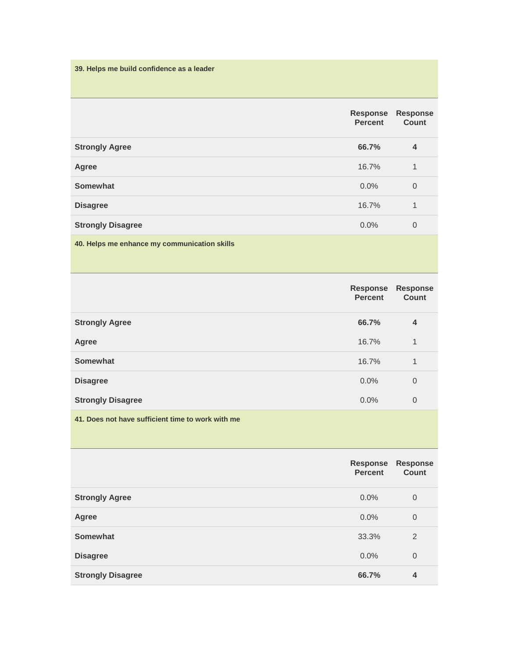**39. Helps me build confidence as a leader**

|                                              | <b>Response</b><br><b>Percent</b> | <b>Response</b><br>Count |
|----------------------------------------------|-----------------------------------|--------------------------|
| <b>Strongly Agree</b>                        | 66.7%                             | 4                        |
| Agree                                        | 16.7%                             | 1                        |
| <b>Somewhat</b>                              | $0.0\%$                           | $\overline{0}$           |
| <b>Disagree</b>                              | 16.7%                             | $\mathbf{1}$             |
| <b>Strongly Disagree</b>                     | $0.0\%$                           | $\overline{0}$           |
| 40. Helps me enhance my communication skills |                                   |                          |

|                          | <b>Response</b><br><b>Percent</b> | <b>Response</b><br><b>Count</b> |
|--------------------------|-----------------------------------|---------------------------------|
| <b>Strongly Agree</b>    | 66.7%                             | 4                               |
| Agree                    | 16.7%                             | $\mathbf{1}$                    |
| Somewhat                 | 16.7%                             | 1                               |
| <b>Disagree</b>          | $0.0\%$                           | $\overline{0}$                  |
| <b>Strongly Disagree</b> | 0.0%                              | $\mathbf 0$                     |
|                          |                                   |                                 |

**41. Does not have sufficient time to work with me**

|                          | <b>Response</b><br><b>Percent</b> | <b>Response</b><br>Count |
|--------------------------|-----------------------------------|--------------------------|
| <b>Strongly Agree</b>    | $0.0\%$                           | $\overline{0}$           |
| <b>Agree</b>             | $0.0\%$                           | $\mathbf 0$              |
| <b>Somewhat</b>          | 33.3%                             | 2                        |
| <b>Disagree</b>          | 0.0%                              | $\overline{0}$           |
| <b>Strongly Disagree</b> | 66.7%                             | 4                        |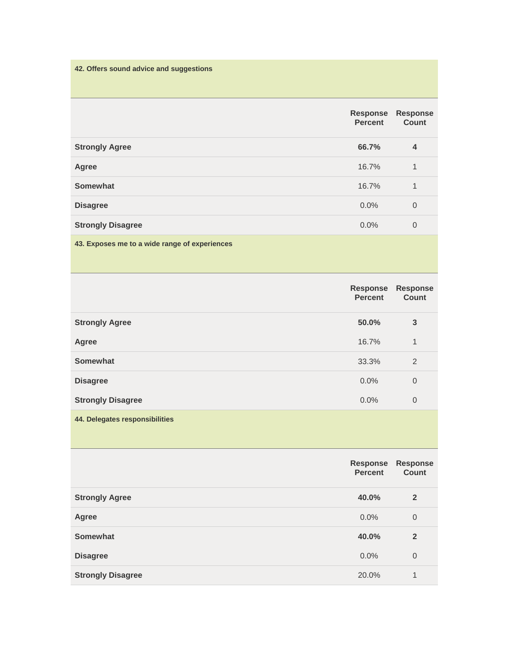**42. Offers sound advice and suggestions**

|                                               | <b>Response</b><br><b>Percent</b> | <b>Response</b><br><b>Count</b> |
|-----------------------------------------------|-----------------------------------|---------------------------------|
| <b>Strongly Agree</b>                         | 66.7%                             | $\overline{4}$                  |
| Agree                                         | 16.7%                             | 1                               |
| <b>Somewhat</b>                               | 16.7%                             | $\mathbf{1}$                    |
| <b>Disagree</b>                               | 0.0%                              | $\mathbf 0$                     |
| <b>Strongly Disagree</b>                      | 0.0%                              | $\overline{0}$                  |
| 43. Exposes me to a wide range of experiences |                                   |                                 |

|                          | <b>Response</b><br><b>Percent</b> | <b>Response</b><br>Count |
|--------------------------|-----------------------------------|--------------------------|
| <b>Strongly Agree</b>    | 50.0%                             | 3                        |
| Agree                    | 16.7%                             | 1                        |
| <b>Somewhat</b>          | 33.3%                             | 2                        |
| <b>Disagree</b>          | $0.0\%$                           | $\overline{0}$           |
| <b>Strongly Disagree</b> | $0.0\%$                           | $\overline{0}$           |
|                          |                                   |                          |

**44. Delegates responsibilities**

|                          | <b>Response</b><br><b>Percent</b> | <b>Response</b><br><b>Count</b> |
|--------------------------|-----------------------------------|---------------------------------|
| <b>Strongly Agree</b>    | 40.0%                             | $\overline{2}$                  |
| <b>Agree</b>             | $0.0\%$                           | $\overline{0}$                  |
| <b>Somewhat</b>          | 40.0%                             | $\overline{2}$                  |
| <b>Disagree</b>          | 0.0%                              | $\overline{0}$                  |
| <b>Strongly Disagree</b> | 20.0%                             | 1                               |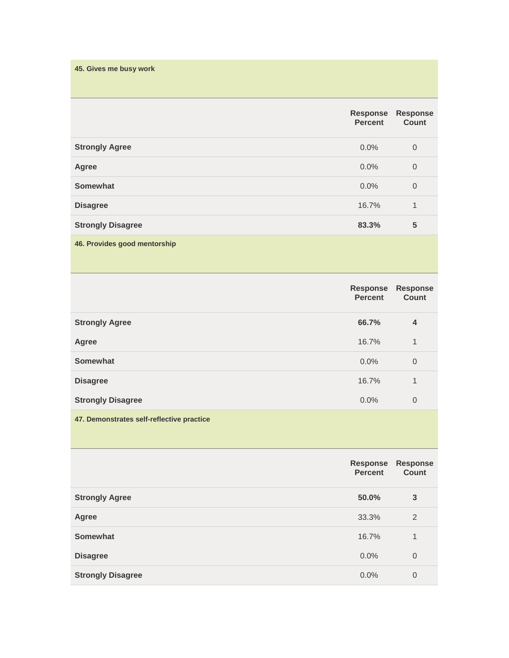| 45. Gives me busy work |  |  |  |
|------------------------|--|--|--|
|                        |  |  |  |
|                        |  |  |  |
|                        |  |  |  |

|                              | <b>Response</b><br><b>Percent</b> | <b>Response</b><br>Count |
|------------------------------|-----------------------------------|--------------------------|
| <b>Strongly Agree</b>        | $0.0\%$                           | $\overline{0}$           |
| Agree                        | 0.0%                              | $\mathbf 0$              |
| <b>Somewhat</b>              | 0.0%                              | $\mathbf 0$              |
| <b>Disagree</b>              | 16.7%                             | 1                        |
| <b>Strongly Disagree</b>     | 83.3%                             | 5                        |
| 46. Provides good mentorship |                                   |                          |

|                          | <b>Response</b><br><b>Percent</b> | <b>Response</b><br>Count |
|--------------------------|-----------------------------------|--------------------------|
| <b>Strongly Agree</b>    | 66.7%                             | 4                        |
| <b>Agree</b>             | 16.7%                             | 1                        |
| <b>Somewhat</b>          | $0.0\%$                           | $\overline{0}$           |
| <b>Disagree</b>          | 16.7%                             | $\mathbf{1}$             |
| <b>Strongly Disagree</b> | 0.0%                              | $\overline{0}$           |
|                          |                                   |                          |

**47. Demonstrates self-reflective practice**

|                          | <b>Response</b><br><b>Percent</b> | <b>Response</b><br><b>Count</b> |
|--------------------------|-----------------------------------|---------------------------------|
| <b>Strongly Agree</b>    | 50.0%                             | 3                               |
| Agree                    | 33.3%                             | 2                               |
| Somewhat                 | 16.7%                             | 1                               |
| <b>Disagree</b>          | 0.0%                              | $\overline{0}$                  |
| <b>Strongly Disagree</b> | 0.0%                              | $\overline{0}$                  |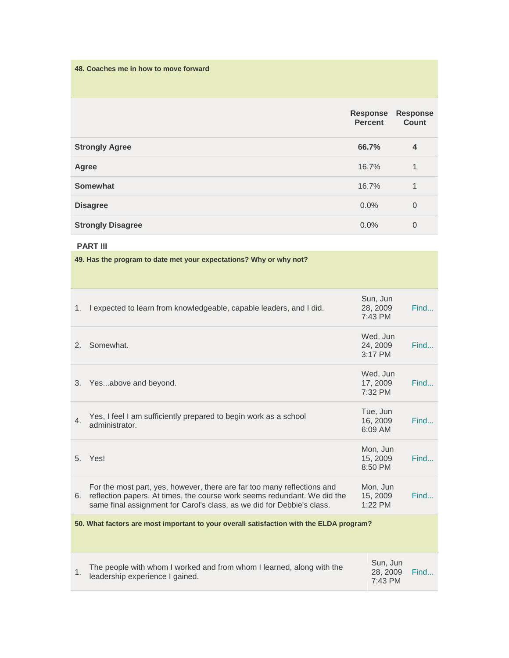**48. Coaches me in how to move forward**

|                          | <b>Response</b><br><b>Percent</b> | <b>Response</b><br>Count |
|--------------------------|-----------------------------------|--------------------------|
| <b>Strongly Agree</b>    | 66.7%                             | $\overline{4}$           |
| Agree                    | 16.7%                             | $\mathbf{1}$             |
| <b>Somewhat</b>          | 16.7%                             | 1                        |
| <b>Disagree</b>          | $0.0\%$                           | $\overline{0}$           |
| <b>Strongly Disagree</b> | $0.0\%$                           | 0                        |

#### **PART III**

**49. Has the program to date met your expectations? Why or why not?**

| 1.                                                                                      | I expected to learn from knowledgeable, capable leaders, and I did.                                                                                                                                                              | Sun, Jun<br>28, 2009<br>7:43 PM   | Find |
|-----------------------------------------------------------------------------------------|----------------------------------------------------------------------------------------------------------------------------------------------------------------------------------------------------------------------------------|-----------------------------------|------|
| 2.                                                                                      | Somewhat.                                                                                                                                                                                                                        | Wed, Jun<br>24, 2009<br>$3:17$ PM | Find |
| 3.                                                                                      | Yesabove and beyond.                                                                                                                                                                                                             | Wed, Jun<br>17, 2009<br>7:32 PM   | Find |
| 4 <sup>1</sup>                                                                          | Yes, I feel I am sufficiently prepared to begin work as a school<br>administrator.                                                                                                                                               | Tue, Jun<br>16, 2009<br>6:09 AM   | Find |
| 5 <sub>1</sub>                                                                          | Yes!                                                                                                                                                                                                                             | Mon, Jun<br>15, 2009<br>8:50 PM   | Find |
|                                                                                         | For the most part, yes, however, there are far too many reflections and<br>6. reflection papers. At times, the course work seems redundant. We did the<br>same final assignment for Carol's class, as we did for Debbie's class. | Mon, Jun<br>15, 2009<br>1:22 PM   | Find |
| 50. What factors are most important to your overall satisfaction with the ELDA program? |                                                                                                                                                                                                                                  |                                   |      |
| 1 <sub>1</sub>                                                                          | The people with whom I worked and from whom I learned, along with the<br>leadership experience I gained.                                                                                                                         | Sun, Jun<br>28, 2009<br>7:43 PM   | Find |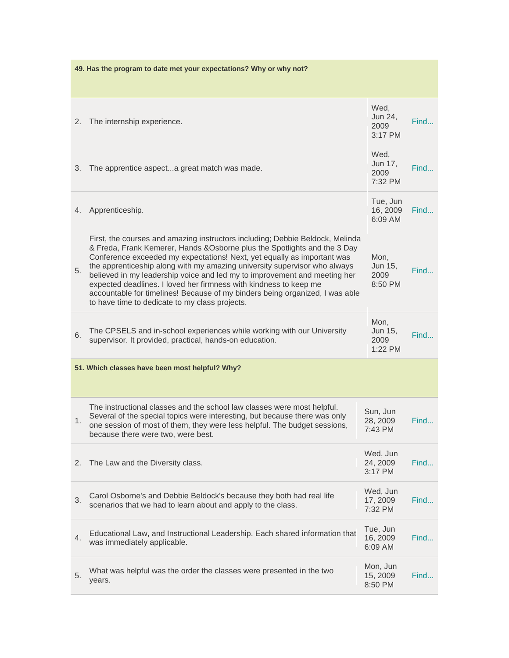| 49. Has the program to date met your expectations? Why or why not? |                                                                                                                                                                                                                                                                                                                                                                                                                                                                                                                                                                                                        |                                    |      |  |
|--------------------------------------------------------------------|--------------------------------------------------------------------------------------------------------------------------------------------------------------------------------------------------------------------------------------------------------------------------------------------------------------------------------------------------------------------------------------------------------------------------------------------------------------------------------------------------------------------------------------------------------------------------------------------------------|------------------------------------|------|--|
|                                                                    |                                                                                                                                                                                                                                                                                                                                                                                                                                                                                                                                                                                                        |                                    |      |  |
| 2.                                                                 | The internship experience.                                                                                                                                                                                                                                                                                                                                                                                                                                                                                                                                                                             | Wed,<br>Jun 24,<br>2009<br>3:17 PM | Find |  |
| 3.                                                                 | The apprentice aspecta great match was made.                                                                                                                                                                                                                                                                                                                                                                                                                                                                                                                                                           | Wed,<br>Jun 17,<br>2009<br>7:32 PM | Find |  |
| 4.                                                                 | Apprenticeship.                                                                                                                                                                                                                                                                                                                                                                                                                                                                                                                                                                                        | Tue, Jun<br>16, 2009<br>6:09 AM    | Find |  |
| 5.                                                                 | First, the courses and amazing instructors including; Debbie Beldock, Melinda<br>& Freda, Frank Kemerer, Hands & Osborne plus the Spotlights and the 3 Day<br>Conference exceeded my expectations! Next, yet equally as important was<br>the apprenticeship along with my amazing university supervisor who always<br>believed in my leadership voice and led my to improvement and meeting her<br>expected deadlines. I loved her firmness with kindness to keep me<br>accountable for timelines! Because of my binders being organized, I was able<br>to have time to dedicate to my class projects. | Mon,<br>Jun 15,<br>2009<br>8:50 PM | Find |  |
| 6.                                                                 | The CPSELS and in-school experiences while working with our University<br>supervisor. It provided, practical, hands-on education.                                                                                                                                                                                                                                                                                                                                                                                                                                                                      | Mon,<br>Jun 15,<br>2009<br>1:22 PM | Find |  |
|                                                                    | 51. Which classes have been most helpful? Why?                                                                                                                                                                                                                                                                                                                                                                                                                                                                                                                                                         |                                    |      |  |
| 1.                                                                 | The instructional classes and the school law classes were most helpful.<br>Several of the special topics were interesting, but because there was only<br>one session of most of them, they were less helpful. The budget sessions,<br>because there were two, were best.                                                                                                                                                                                                                                                                                                                               | Sun, Jun<br>28, 2009<br>7:43 PM    | Find |  |
| 2.                                                                 | The Law and the Diversity class.                                                                                                                                                                                                                                                                                                                                                                                                                                                                                                                                                                       | Wed, Jun<br>24, 2009<br>3:17 PM    | Find |  |
| 3.                                                                 | Carol Osborne's and Debbie Beldock's because they both had real life<br>scenarios that we had to learn about and apply to the class.                                                                                                                                                                                                                                                                                                                                                                                                                                                                   | Wed, Jun<br>17, 2009<br>7:32 PM    | Find |  |
| 4.                                                                 | Educational Law, and Instructional Leadership. Each shared information that<br>was immediately applicable.                                                                                                                                                                                                                                                                                                                                                                                                                                                                                             | Tue, Jun<br>16, 2009<br>6:09 AM    | Find |  |
| 5.                                                                 | What was helpful was the order the classes were presented in the two<br>years.                                                                                                                                                                                                                                                                                                                                                                                                                                                                                                                         | Mon, Jun<br>15, 2009<br>8:50 PM    | Find |  |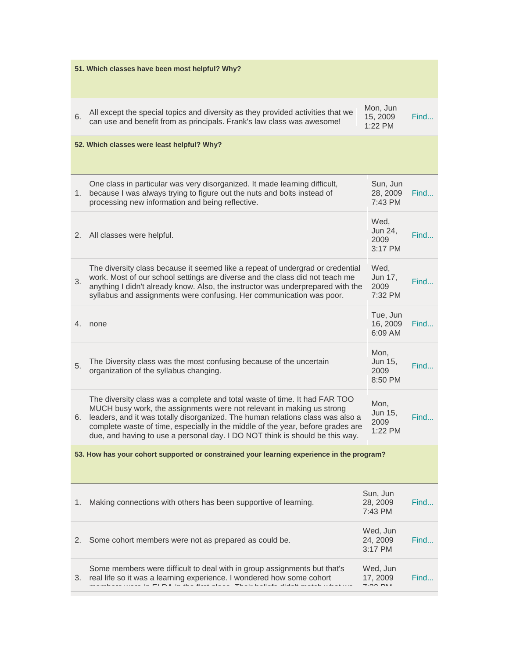| 51. Which classes have been most helpful? Why? |                                                                                                                                                                                                                                                                                                                                                                                                          |                                    |      |  |
|------------------------------------------------|----------------------------------------------------------------------------------------------------------------------------------------------------------------------------------------------------------------------------------------------------------------------------------------------------------------------------------------------------------------------------------------------------------|------------------------------------|------|--|
| 6.                                             | All except the special topics and diversity as they provided activities that we<br>can use and benefit from as principals. Frank's law class was awesome!                                                                                                                                                                                                                                                | Mon, Jun<br>15, 2009<br>1:22 PM    | Find |  |
|                                                | 52. Which classes were least helpful? Why?                                                                                                                                                                                                                                                                                                                                                               |                                    |      |  |
| 1.                                             | One class in particular was very disorganized. It made learning difficult,<br>because I was always trying to figure out the nuts and bolts instead of<br>processing new information and being reflective.                                                                                                                                                                                                | Sun, Jun<br>28, 2009<br>7:43 PM    | Find |  |
| 2.                                             | All classes were helpful.                                                                                                                                                                                                                                                                                                                                                                                | Wed,<br>Jun 24,<br>2009<br>3:17 PM | Find |  |
| 3.                                             | The diversity class because it seemed like a repeat of undergrad or credential<br>work. Most of our school settings are diverse and the class did not teach me<br>anything I didn't already know. Also, the instructor was underprepared with the<br>syllabus and assignments were confusing. Her communication was poor.                                                                                | Wed,<br>Jun 17,<br>2009<br>7:32 PM | Find |  |
| 4.                                             | none                                                                                                                                                                                                                                                                                                                                                                                                     | Tue, Jun<br>16, 2009<br>6:09 AM    | Find |  |
| 5.                                             | The Diversity class was the most confusing because of the uncertain<br>organization of the syllabus changing.                                                                                                                                                                                                                                                                                            | Mon,<br>Jun 15,<br>2009<br>8:50 PM | Find |  |
| 6.                                             | The diversity class was a complete and total waste of time. It had FAR TOO<br>MUCH busy work, the assignments were not relevant in making us strong<br>leaders, and it was totally disorganized. The human relations class was also a<br>complete waste of time, especially in the middle of the year, before grades are<br>due, and having to use a personal day. I DO NOT think is should be this way. | Mon,<br>Jun 15,<br>2009<br>1:22 PM | Find |  |
|                                                | 53. How has your cohort supported or constrained your learning experience in the program?                                                                                                                                                                                                                                                                                                                |                                    |      |  |
| 1.                                             | Making connections with others has been supportive of learning.                                                                                                                                                                                                                                                                                                                                          | Sun, Jun<br>28, 2009<br>7:43 PM    | Find |  |
| 2.                                             | Some cohort members were not as prepared as could be.                                                                                                                                                                                                                                                                                                                                                    | Wed, Jun<br>24, 2009<br>3:17 PM    | Find |  |
| 3.                                             | Some members were difficult to deal with in group assignments but that's<br>real life so it was a learning experience. I wondered how some cohort<br>iono in FLDA in the final place. Their heliafe didn't match<br>منبطم وأبيد                                                                                                                                                                          | Wed, Jun<br>17, 2009<br>7.00M      | Find |  |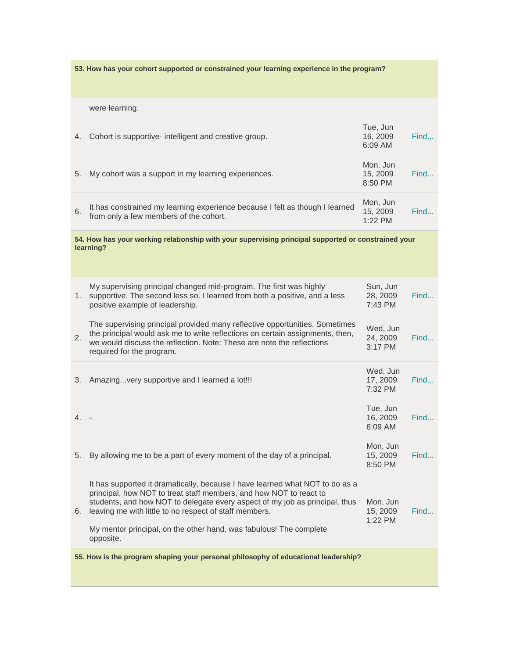**53. How has your cohort supported or constrained your learning experience in the program?** were learning. 4. Cohort is supportive- intelligent and creative group. Tue, Jun 16, 2009 6:09 AM [Find...](http://www.surveymonkey.com/MySurvey_ResponsesDetail.aspx?sm=ItMBF086dFhOhSaumKIz9YMyNeTEhh3U1lKPIM%2b8BBkiTCfQ0A6QeoBIlVXai4ElwQo9EWUOSu4XB4BLXbNsuFnzgUfG9bJsPOwjbTe0bjw%3d) 5. My cohort was a support in my learning experiences. Mon, Jun 15, 2009 8:50 PM [Find...](http://www.surveymonkey.com/MySurvey_ResponsesDetail.aspx?sm=ItMBF086dFhOhSaumKIz9YMyNeTEhh3U1lKPIM%2b8BBkiTCfQ0A6QeoBIlVXai4ElwQo9EWUOSu4XB4BLXbNsuFzHJuGz%2fFO6094VO9UD4YU%3d) 6. It has constrained my learning experience because I felt as though I learned from only a few members of the cohort. Mon, Jun 15, 2009 1:22 PM [Find...](http://www.surveymonkey.com/MySurvey_ResponsesDetail.aspx?sm=ItMBF086dFhOhSaumKIz9YMyNeTEhh3U1lKPIM%2b8BBkiTCfQ0A6QeoBIlVXai4ElwQo9EWUOSu4XB4BLXbNsuPlNkd8nWSW9%2bpfQiVz8gU4%3d) **54. How has your working relationship with your supervising principal supported or constrained your learning?** 1. supportive. The second less so. I learned from both a positive, and a less My supervising principal changed mid-program. The first was highly positive example of leadership. Sun, Jun 28, 2009 7:43 PM [Find...](http://www.surveymonkey.com/MySurvey_ResponsesDetail.aspx?sm=ItMBF086dFhOhSaumKIz9YMyNeTEhh3U1lKPIM%2b8BBkiTCfQ0A6QeoBIlVXai4ElwQo9EWUOSu4XB4BLXbNsuGgo65yZAKTiOx%2bHzPPxBdM%3d) 2. The supervising principal provided many reflective opportunities. Sometimes the principal would ask me to write reflections on certain assignments, then, we would discuss the reflection. Note: These are note the reflections required for the program. Wed, Jun 24, 2009 3:17 PM [Find...](http://www.surveymonkey.com/MySurvey_ResponsesDetail.aspx?sm=ItMBF086dFhOhSaumKIz9YMyNeTEhh3U1lKPIM%2b8BBkiTCfQ0A6QeoBIlVXai4ElwQo9EWUOSu4XB4BLXbNsuHsSuHp7I2ZE05JzABO%2f2cQ%3d) 3. Amazing...very supportive and I learned a lot!!! Wed, Jun 17, 2009 7:32 PM [Find...](http://www.surveymonkey.com/MySurvey_ResponsesDetail.aspx?sm=ItMBF086dFhOhSaumKIz9YMyNeTEhh3U1lKPIM%2b8BBkiTCfQ0A6QeoBIlVXai4ElwQo9EWUOSu4XB4BLXbNsuCljOi1ksQUJZZALN%2fLGj%2fM%3d) 4. - Tue, Jun 16, 2009 6:09 AM [Find...](http://www.surveymonkey.com/MySurvey_ResponsesDetail.aspx?sm=ItMBF086dFhOhSaumKIz9YMyNeTEhh3U1lKPIM%2b8BBkiTCfQ0A6QeoBIlVXai4ElwQo9EWUOSu4XB4BLXbNsuFnzgUfG9bJsPOwjbTe0bjw%3d) 5. By allowing me to be a part of every moment of the day of a principal. Mon, Jun 15, 2009 8:50 PM [Find...](http://www.surveymonkey.com/MySurvey_ResponsesDetail.aspx?sm=ItMBF086dFhOhSaumKIz9YMyNeTEhh3U1lKPIM%2b8BBkiTCfQ0A6QeoBIlVXai4ElwQo9EWUOSu4XB4BLXbNsuFzHJuGz%2fFO6094VO9UD4YU%3d) 6. leaving me with little to no respect of staff members. It has supported it dramatically, because I have learned what NOT to do as a principal, how NOT to treat staff members, and how NOT to react to students, and how NOT to delegate every aspect of my job as principal, thus My mentor principal, on the other hand, was fabulous! The complete opposite. Mon, Jun 15, 2009 1:22 PM [Find...](http://www.surveymonkey.com/MySurvey_ResponsesDetail.aspx?sm=ItMBF086dFhOhSaumKIz9YMyNeTEhh3U1lKPIM%2b8BBkiTCfQ0A6QeoBIlVXai4ElwQo9EWUOSu4XB4BLXbNsuPlNkd8nWSW9%2bpfQiVz8gU4%3d) **55. How is the program shaping your personal philosophy of educational leadership?**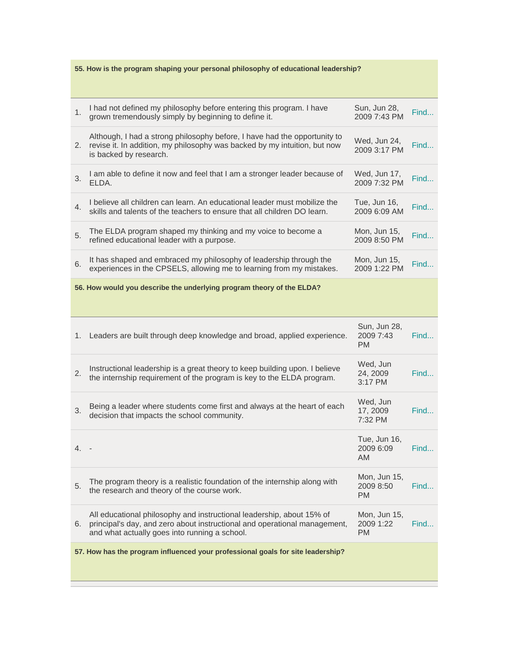|    | 55. How is the program shaping your personal philosophy of educational leadership?                                                                                                                  |                                        |      |  |  |
|----|-----------------------------------------------------------------------------------------------------------------------------------------------------------------------------------------------------|----------------------------------------|------|--|--|
|    |                                                                                                                                                                                                     |                                        |      |  |  |
| 1. | I had not defined my philosophy before entering this program. I have<br>grown tremendously simply by beginning to define it.                                                                        | Sun, Jun 28,<br>2009 7:43 PM           | Find |  |  |
| 2. | Although, I had a strong philosophy before, I have had the opportunity to<br>revise it. In addition, my philosophy was backed by my intuition, but now<br>is backed by research.                    | Wed, Jun 24,<br>2009 3:17 PM           | Find |  |  |
| 3. | I am able to define it now and feel that I am a stronger leader because of<br>ELDA.                                                                                                                 | Wed, Jun 17,<br>2009 7:32 PM           | Find |  |  |
| 4. | I believe all children can learn. An educational leader must mobilize the<br>skills and talents of the teachers to ensure that all children DO learn.                                               | Tue, Jun 16,<br>2009 6:09 AM           | Find |  |  |
| 5. | The ELDA program shaped my thinking and my voice to become a<br>refined educational leader with a purpose.                                                                                          | Mon, Jun 15,<br>2009 8:50 PM           | Find |  |  |
| 6. | It has shaped and embraced my philosophy of leadership through the<br>experiences in the CPSELS, allowing me to learning from my mistakes.                                                          | Mon, Jun 15,<br>2009 1:22 PM           | Find |  |  |
|    | 56. How would you describe the underlying program theory of the ELDA?                                                                                                                               |                                        |      |  |  |
|    |                                                                                                                                                                                                     |                                        |      |  |  |
| 1. | Leaders are built through deep knowledge and broad, applied experience.                                                                                                                             | Sun, Jun 28,<br>2009 7:43<br><b>PM</b> | Find |  |  |
| 2. | Instructional leadership is a great theory to keep building upon. I believe<br>the internship requirement of the program is key to the ELDA program.                                                | Wed, Jun<br>24, 2009<br>3:17 PM        | Find |  |  |
| 3. | Being a leader where students come first and always at the heart of each<br>decision that impacts the school community.                                                                             | Wed, Jun<br>17, 2009<br>7:32 PM        | Find |  |  |
| 4. |                                                                                                                                                                                                     | Tue, Jun 16,<br>2009 6:09<br><b>AM</b> | Find |  |  |
| 5. | The program theory is a realistic foundation of the internship along with<br>the research and theory of the course work.                                                                            | Mon, Jun 15,<br>2009 8:50<br>PM.       | Find |  |  |
| 6. | All educational philosophy and instructional leadership, about 15% of<br>principal's day, and zero about instructional and operational management,<br>and what actually goes into running a school. | Mon, Jun 15,<br>2009 1:22<br><b>PM</b> | Find |  |  |
|    | 57. How has the program influenced your professional goals for site leadership?                                                                                                                     |                                        |      |  |  |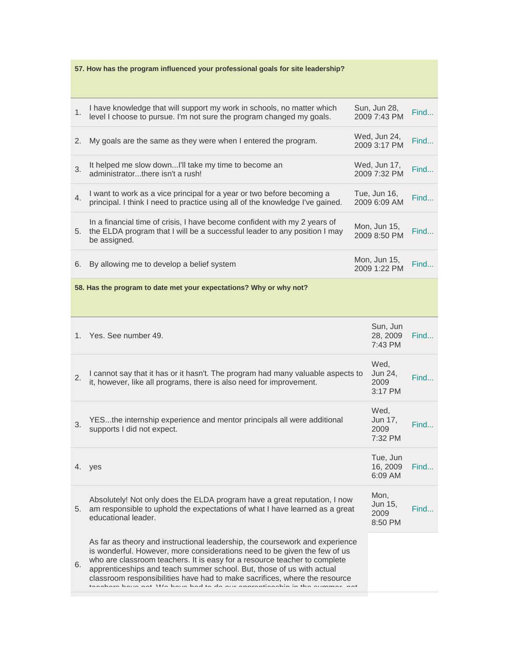| 57. How has the program influenced your professional goals for site leadership? |                                                                                                                                                                                                                                                                                                                                                                                                                                                                      |  |                                    |      |
|---------------------------------------------------------------------------------|----------------------------------------------------------------------------------------------------------------------------------------------------------------------------------------------------------------------------------------------------------------------------------------------------------------------------------------------------------------------------------------------------------------------------------------------------------------------|--|------------------------------------|------|
|                                                                                 |                                                                                                                                                                                                                                                                                                                                                                                                                                                                      |  |                                    |      |
| 1.                                                                              | I have knowledge that will support my work in schools, no matter which<br>level I choose to pursue. I'm not sure the program changed my goals.                                                                                                                                                                                                                                                                                                                       |  | Sun, Jun 28,<br>2009 7:43 PM       | Find |
| 2.                                                                              | My goals are the same as they were when I entered the program.                                                                                                                                                                                                                                                                                                                                                                                                       |  | Wed, Jun 24,<br>2009 3:17 PM       | Find |
| 3.                                                                              | It helped me slow downI'll take my time to become an<br>administratorthere isn't a rush!                                                                                                                                                                                                                                                                                                                                                                             |  | Wed, Jun 17,<br>2009 7:32 PM       | Find |
| 4.                                                                              | I want to work as a vice principal for a year or two before becoming a<br>principal. I think I need to practice using all of the knowledge I've gained.                                                                                                                                                                                                                                                                                                              |  | Tue, Jun 16,<br>2009 6:09 AM       | Find |
| 5.                                                                              | In a financial time of crisis, I have become confident with my 2 years of<br>the ELDA program that I will be a successful leader to any position I may<br>be assigned.                                                                                                                                                                                                                                                                                               |  | Mon, Jun 15,<br>2009 8:50 PM       | Find |
| 6.                                                                              | By allowing me to develop a belief system                                                                                                                                                                                                                                                                                                                                                                                                                            |  | Mon, Jun 15,<br>2009 1:22 PM       | Find |
|                                                                                 | 58. Has the program to date met your expectations? Why or why not?                                                                                                                                                                                                                                                                                                                                                                                                   |  |                                    |      |
|                                                                                 |                                                                                                                                                                                                                                                                                                                                                                                                                                                                      |  |                                    |      |
|                                                                                 | 1. Yes. See number 49.                                                                                                                                                                                                                                                                                                                                                                                                                                               |  | Sun, Jun<br>28, 2009<br>7:43 PM    | Find |
| 2.                                                                              | I cannot say that it has or it hasn't. The program had many valuable aspects to<br>it, however, like all programs, there is also need for improvement.                                                                                                                                                                                                                                                                                                               |  | Wed,<br>Jun 24,<br>2009<br>3:17 PM | Find |
| 3.                                                                              | YESthe internship experience and mentor principals all were additional<br>supports I did not expect.                                                                                                                                                                                                                                                                                                                                                                 |  | Wed,<br>Jun 17,<br>2009<br>7:32 PM | Find |
|                                                                                 | 4. yes                                                                                                                                                                                                                                                                                                                                                                                                                                                               |  | Tue, Jun<br>16, 2009<br>6:09 AM    | Find |
| 5.                                                                              | Absolutely! Not only does the ELDA program have a great reputation, I now<br>am responsible to uphold the expectations of what I have learned as a great<br>educational leader.                                                                                                                                                                                                                                                                                      |  | Mon,<br>Jun 15,<br>2009<br>8:50 PM | Find |
| 6.                                                                              | As far as theory and instructional leadership, the coursework and experience<br>is wonderful. However, more considerations need to be given the few of us<br>who are classroom teachers. It is easy for a resource teacher to complete<br>apprenticeships and teach summer school. But, those of us with actual<br>classroom responsibilities have had to make sacrifices, where the resource<br>cohore boys not We hove had to do our oppropriace in the oummer not |  |                                    |      |